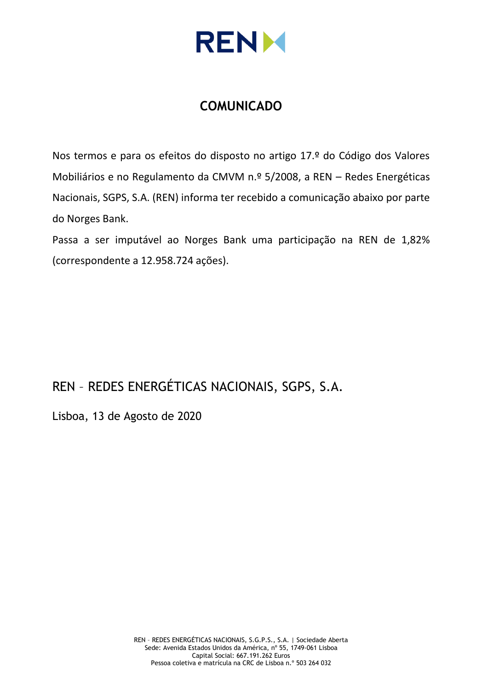

# **COMUNICADO**

Nos termos e para os efeitos do disposto no artigo 17.º do Código dos Valores Mobiliários e no Regulamento da CMVM n.º 5/2008, a REN – Redes Energéticas Nacionais, SGPS, S.A. (REN) informa ter recebido a comunicação abaixo por parte do Norges Bank.

Passa a ser imputável ao Norges Bank uma participação na REN de 1,82% (correspondente a 12.958.724 ações).

REN – REDES ENERGÉTICAS NACIONAIS, SGPS, S.A.

Lisboa, 13 de Agosto de 2020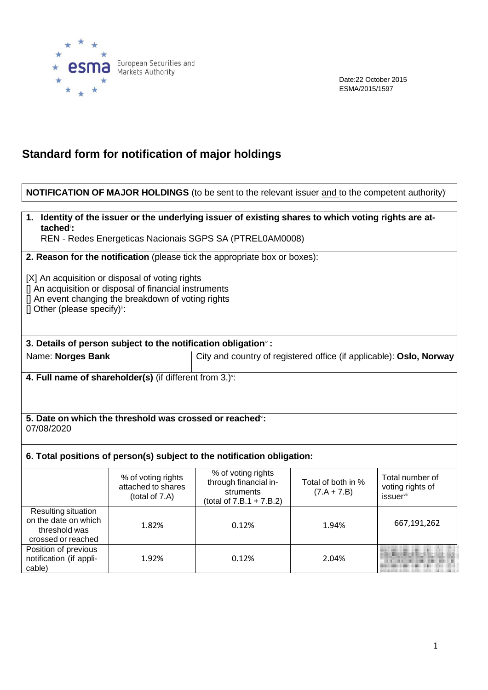

Date:22 October 2015 ESMA/2015/1597

## **Standard form for notification of major holdings**

## **NOTIFICATION OF MAJOR HOLDINGS** (to be sent to the relevant issuer and to the competent authority)<sup>i</sup>

## **1. Identity of the issuer or the underlying issuer of existing shares to which voting rights are attached**ii**:**

REN - Redes Energeticas Nacionais SGPS SA (PTREL0AM0008)

**2. Reason for the notification** (please tick the appropriate box or boxes):

[X] An acquisition or disposal of voting rights

[] An acquisition or disposal of financial instruments

[] An event changing the breakdown of voting rights

 $[]$  Other (please specify)<sup>11</sup>:

## **3. Details of person subject to the notification obligation**iv **:**

Name: **Norges Bank** City and country of registered office (if applicable): **Oslo, Norway**

**4. Full name of shareholder(s)** (if different from 3.)v :

#### **5. Date on which the threshold was crossed or reached**vi**:** 07/08/2020

## **6. Total positions of person(s) subject to the notification obligation:**

|                                                                                    | % of voting rights<br>attached to shares<br>(total of 7.A) | % of voting rights<br>through financial in-<br>struments<br>(total of $7.B.1 + 7.B.2$ ) | Total of both in %<br>$(7.A + 7.B)$ | Total number of<br>voting rights of<br>issuer <sup>vii</sup> |
|------------------------------------------------------------------------------------|------------------------------------------------------------|-----------------------------------------------------------------------------------------|-------------------------------------|--------------------------------------------------------------|
| Resulting situation<br>on the date on which<br>threshold was<br>crossed or reached | 1.82%                                                      | 0.12%                                                                                   | 1.94%                               | 667,191,262                                                  |
| Position of previous<br>notification (if appli-<br>cable)                          | 1.92%                                                      | 0.12%                                                                                   | 2.04%                               |                                                              |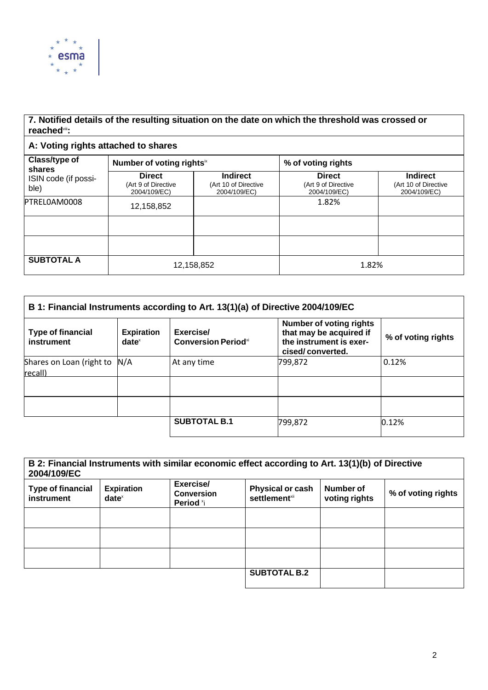

## **7. Notified details of the resulting situation on the date on which the threshold was crossed or reached**viii**:**

## **A: Voting rights attached to shares**

| Class/type of<br>shares      | Number of voting rights <sup>ix</sup>                |                                                         | % of voting rights                                   |                                                         |  |
|------------------------------|------------------------------------------------------|---------------------------------------------------------|------------------------------------------------------|---------------------------------------------------------|--|
| ISIN code (if possi-<br>ble) | <b>Direct</b><br>(Art 9 of Directive<br>2004/109/EC) | <b>Indirect</b><br>(Art 10 of Directive<br>2004/109/EC) | <b>Direct</b><br>(Art 9 of Directive<br>2004/109/EC) | <b>Indirect</b><br>(Art 10 of Directive<br>2004/109/EC) |  |
| PTRELOAM0008                 | 12,158,852                                           |                                                         | 1.82%                                                |                                                         |  |
|                              |                                                      |                                                         |                                                      |                                                         |  |
|                              |                                                      |                                                         |                                                      |                                                         |  |
| <b>SUBTOTAL A</b>            | 12,158,852                                           |                                                         | 1.82%                                                |                                                         |  |

| B 1: Financial Instruments according to Art. 13(1)(a) of Directive 2004/109/EC |                               |                                                     |                                                                                                          |                    |
|--------------------------------------------------------------------------------|-------------------------------|-----------------------------------------------------|----------------------------------------------------------------------------------------------------------|--------------------|
| <b>Type of financial</b><br>instrument                                         | <b>Expiration</b><br>$date^x$ | Exercise/<br><b>Conversion Period</b> <sup>xi</sup> | <b>Number of voting rights</b><br>that may be acquired if<br>the instrument is exer-<br>cised/converted. | % of voting rights |
| Shares on Loan (right to<br>recall)                                            | N/A                           | At any time                                         | 799,872                                                                                                  | 0.12%              |
|                                                                                |                               |                                                     |                                                                                                          |                    |
|                                                                                |                               |                                                     |                                                                                                          |                    |
|                                                                                |                               | <b>SUBTOTAL B.1</b>                                 | 799,872                                                                                                  | 0.12%              |

| B 2: Financial Instruments with similar economic effect according to Art. 13(1)(b) of Directive<br>2004/109/EC |                                                        |                                             |                                                      |                            |                    |
|----------------------------------------------------------------------------------------------------------------|--------------------------------------------------------|---------------------------------------------|------------------------------------------------------|----------------------------|--------------------|
| <b>Type of financial</b><br><b>instrument</b>                                                                  | <b>Expiration</b><br>$date^{\scriptscriptstyle\times}$ | Exercise/<br><b>Conversion</b><br>Period *i | <b>Physical or cash</b><br>settlement <sup>xii</sup> | Number of<br>voting rights | % of voting rights |
|                                                                                                                |                                                        |                                             |                                                      |                            |                    |
|                                                                                                                |                                                        |                                             |                                                      |                            |                    |
|                                                                                                                |                                                        |                                             |                                                      |                            |                    |
|                                                                                                                |                                                        |                                             | <b>SUBTOTAL B.2</b>                                  |                            |                    |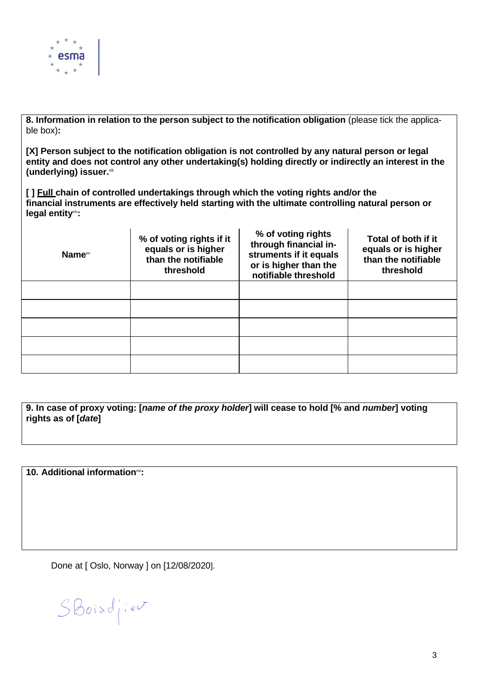

**8. Information in relation to the person subject to the notification obligation** (please tick the applicable box)**:**

**[X] Person subject to the notification obligation is not controlled by any natural person or legal entity and does not control any other undertaking(s) holding directly or indirectly an interest in the (underlying) issuer.**xiii

**[ ] Full chain of controlled undertakings through which the voting rights and/or the financial instruments are effectively held starting with the ultimate controlling natural person or legal entity**xiv**:**

| Name <sup>xv</sup> | % of voting rights if it<br>equals or is higher<br>than the notifiable<br>threshold | % of voting rights<br>through financial in-<br>struments if it equals<br>or is higher than the<br>notifiable threshold | Total of both if it<br>equals or is higher<br>than the notifiable<br>threshold |
|--------------------|-------------------------------------------------------------------------------------|------------------------------------------------------------------------------------------------------------------------|--------------------------------------------------------------------------------|
|                    |                                                                                     |                                                                                                                        |                                                                                |
|                    |                                                                                     |                                                                                                                        |                                                                                |
|                    |                                                                                     |                                                                                                                        |                                                                                |
|                    |                                                                                     |                                                                                                                        |                                                                                |
|                    |                                                                                     |                                                                                                                        |                                                                                |

9. In case of proxy voting: [name of the proxy holder] will cease to hold [% and number] voting **rights as of [***date***]**

**10. Additional information**xvi**:**

Done at [ Oslo, Norway ] on [12/08/2020].

 $SBoisd'iev$